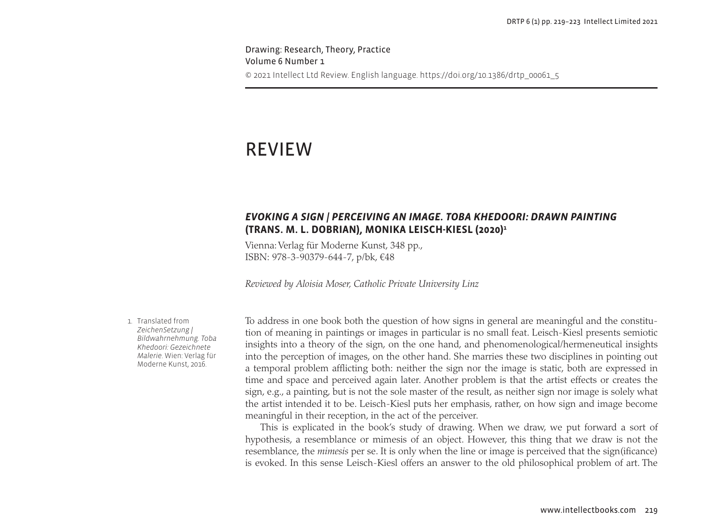Drawing: Research, Theory, Practice Volume 6 Number 1 © 2021 Intellect Ltd Review. English language. https://doi.org/10.1386/drtp\_00061\_5

# REVIEW

## *EVOKING A SIGN | PERCEIVING AN IMAGE. TOBA KHEDOORI: DRAWN PAINTING* **(TRANS. M. L. DOBRIAN), MONIKA LEISCH-KIESL (2020)1**

Vienna: Verlag für Moderne Kunst, 348 pp., ISBN: 978-3-90379-644-7, p/bk, €48

*Reviewed by Aloisia Moser, Catholic Private University Linz*

1. Translated from *ZeichenSetzung | Bildwahrnehmung. Toba Khedoori: Gezeichnete Malerie*. Wien: Verlag für Moderne Kunst, 2016.

To address in one book both the question of how signs in general are meaningful and the constitution of meaning in paintings or images in particular is no small feat. Leisch-Kiesl presents semiotic insights into a theory of the sign, on the one hand, and phenomenological/hermeneutical insights into the perception of images, on the other hand. She marries these two disciplines in pointing out a temporal problem afflicting both: neither the sign nor the image is static, both are expressed in time and space and perceived again later. Another problem is that the artist effects or creates the sign, e.g., a painting, but is not the sole master of the result, as neither sign nor image is solely what the artist intended it to be. Leisch-Kiesl puts her emphasis, rather, on how sign and image become meaningful in their reception, in the act of the perceiver.

This is explicated in the book's study of drawing. When we draw, we put forward a sort of hypothesis, a resemblance or mimesis of an object. However, this thing that we draw is not the resemblance, the *mimesis* per se. It is only when the line or image is perceived that the sign(ificance) is evoked. In this sense Leisch-Kiesl offers an answer to the old philosophical problem of art. The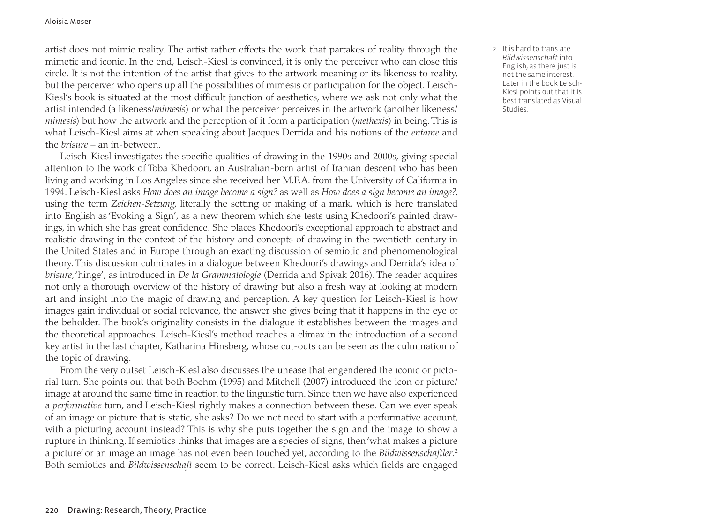#### Aloisia Moser

artist does not mimic reality. The artist rather effects the work that partakes of reality through the mimetic and iconic. In the end, Leisch-Kiesl is convinced, it is only the perceiver who can close this circle. It is not the intention of the artist that gives to the artwork meaning or its likeness to reality, but the perceiver who opens up all the possibilities of mimesis or participation for the object. Leisch-Kiesl's book is situated at the most difficult junction of aesthetics, where we ask not only what the artist intended (a likeness/*mimesis*) or what the perceiver perceives in the artwork (another likeness/ *mimesis*) but how the artwork and the perception of it form a participation (*methexis*) in being. This is what Leisch-Kiesl aims at when speaking about Jacques Derrida and his notions of the *entame* and the *brisure* – an in-between.

Leisch-Kiesl investigates the specific qualities of drawing in the 1990s and 2000s, giving special attention to the work of Toba Khedoori, an Australian-born artist of Iranian descent who has been living and working in Los Angeles since she received her M.F.A. from the University of California in 1994. Leisch-Kiesl asks *How does an image become a sign?* as well as *How does a sign become an image?*, using the term *Zeichen-Setzung*, literally the setting or making of a mark, which is here translated into English as 'Evoking a Sign', as a new theorem which she tests using Khedoori's painted drawings, in which she has great confidence. She places Khedoori's exceptional approach to abstract and realistic drawing in the context of the history and concepts of drawing in the twentieth century in the United States and in Europe through an exacting discussion of semiotic and phenomenological theory. This discussion culminates in a dialogue between Khedoori's drawings and Derrida's idea of *brisure*, 'hinge', as introduced in *De la Grammatologie* (Derrida and Spivak 2016). The reader acquires not only a thorough overview of the history of drawing but also a fresh way at looking at modern art and insight into the magic of drawing and perception. A key question for Leisch-Kiesl is how images gain individual or social relevance, the answer she gives being that it happens in the eye of the beholder. The book's originality consists in the dialogue it establishes between the images and the theoretical approaches. Leisch-Kiesl's method reaches a climax in the introduction of a second key artist in the last chapter, Katharina Hinsberg, whose cut-outs can be seen as the culmination of the topic of drawing.

From the very outset Leisch-Kiesl also discusses the unease that engendered the iconic or pictorial turn. She points out that both Boehm (1995) and Mitchell (2007) introduced the icon or picture/ image at around the same time in reaction to the linguistic turn. Since then we have also experienced a *performative* turn, and Leisch-Kiesl rightly makes a connection between these. Can we ever speak of an image or picture that is static, she asks? Do we not need to start with a performative account, with a picturing account instead? This is why she puts together the sign and the image to show a rupture in thinking. If semiotics thinks that images are a species of signs, then 'what makes a picture a picture' or an image an image has not even been touched yet, according to the *Bildwissenschaftler*. 2 Both semiotics and *Bildwissenschaft* seem to be correct. Leisch-Kiesl asks which fields are engaged 2. It is hard to translate *Bildwissenschaft* into English, as there just is not the same interest. Later in the book Leisch-Kiesl points out that it is best translated as Visual **Studies**.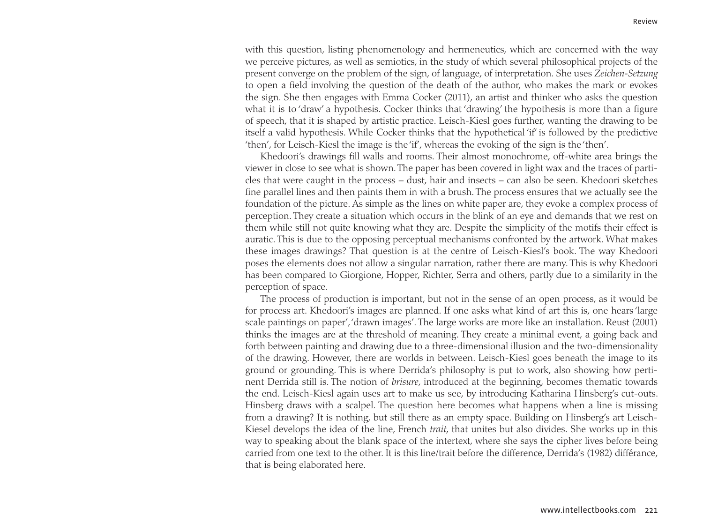with this question, listing phenomenology and hermeneutics, which are concerned with the way we perceive pictures, as well as semiotics, in the study of which several philosophical projects of the present converge on the problem of the sign, of language, of interpretation. She uses *Zeichen-Setzung* to open a field involving the question of the death of the author, who makes the mark or evokes the sign. She then engages with Emma Cocker (2011), an artist and thinker who asks the question what it is to 'draw' a hypothesis. Cocker thinks that 'drawing' the hypothesis is more than a figure of speech, that it is shaped by artistic practice. Leisch-Kiesl goes further, wanting the drawing to be itself a valid hypothesis. While Cocker thinks that the hypothetical 'if' is followed by the predictive 'then', for Leisch-Kiesl the image is the 'if', whereas the evoking of the sign is the 'then'.

Khedoori's drawings fill walls and rooms. Their almost monochrome, off-white area brings the viewer in close to see what is shown. The paper has been covered in light wax and the traces of particles that were caught in the process – dust, hair and insects – can also be seen. Khedoori sketches fine parallel lines and then paints them in with a brush. The process ensures that we actually see the foundation of the picture. As simple as the lines on white paper are, they evoke a complex process of perception. They create a situation which occurs in the blink of an eye and demands that we rest on them while still not quite knowing what they are. Despite the simplicity of the motifs their effect is auratic. This is due to the opposing perceptual mechanisms confronted by the artwork. What makes these images drawings? That question is at the centre of Leisch-Kiesl's book. The way Khedoori poses the elements does not allow a singular narration, rather there are many. This is why Khedoori has been compared to Giorgione, Hopper, Richter, Serra and others, partly due to a similarity in the perception of space.

The process of production is important, but not in the sense of an open process, as it would be for process art. Khedoori's images are planned. If one asks what kind of art this is, one hears 'large scale paintings on paper', 'drawn images'. The large works are more like an installation. Reust (2001) thinks the images are at the threshold of meaning. They create a minimal event, a going back and forth between painting and drawing due to a three-dimensional illusion and the two-dimensionality of the drawing. However, there are worlds in between. Leisch-Kiesl goes beneath the image to its ground or grounding. This is where Derrida's philosophy is put to work, also showing how pertinent Derrida still is. The notion of *brisure*, introduced at the beginning, becomes thematic towards the end. Leisch-Kiesl again uses art to make us see, by introducing Katharina Hinsberg's cut-outs. Hinsberg draws with a scalpel. The question here becomes what happens when a line is missing from a drawing? It is nothing, but still there as an empty space. Building on Hinsberg's art Leisch-Kiesel develops the idea of the line, French *trait*, that unites but also divides. She works up in this way to speaking about the blank space of the intertext, where she says the cipher lives before being carried from one text to the other. It is this line/trait before the difference, Derrida's (1982) différance, that is being elaborated here.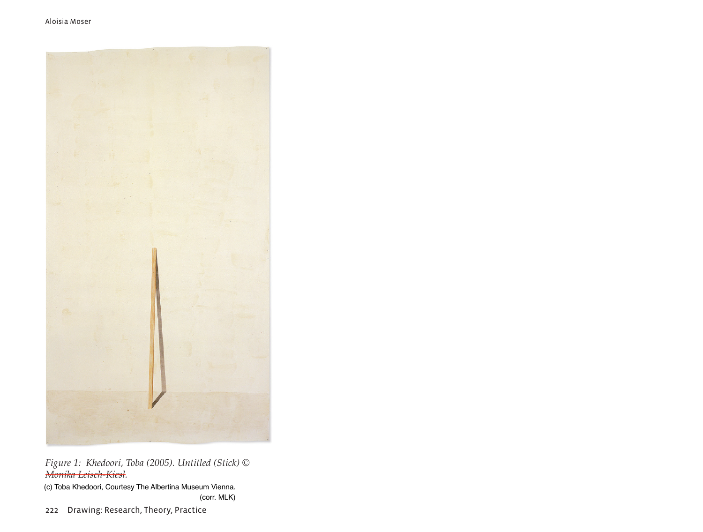

*Figure 1: Khedoori, Toba (2005). Untitled (Stick) © Monika Leisch-Kiesl.*

(c) Toba Khedoori, Courtesy The Albertina Museum Vienna. (corr. MLK)

222 Drawing: Research, Theory, Practice